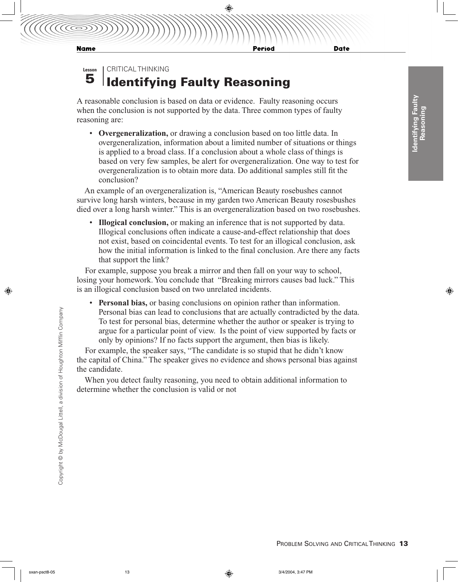Period

**Date** 

CRITICAL THINKING **Lesson**

## Identifying Faulty Reasoning 5

A reasonable conclusion is based on data or evidence. Faulty reasoning occurs when the conclusion is not supported by the data. Three common types of faulty reasoning are:

• **Overgeneralization,** or drawing a conclusion based on too little data. In overgeneralization, information about a limited number of situations or things is applied to a broad class. If a conclusion about a whole class of things is based on very few samples, be alert for overgeneralization. One way to test for overgeneralization is to obtain more data. Do additional samples still fit the conclusion?

An example of an overgeneralization is, "American Beauty rosebushes cannot survive long harsh winters, because in my garden two American Beauty rosesbushes died over a long harsh winter." This is an overgeneralization based on two rosebushes.

• **Illogical conclusion,** or making an inference that is not supported by data. Illogical conclusions often indicate a cause-and-effect relationship that does not exist, based on coincidental events. To test for an illogical conclusion, ask how the initial information is linked to the final conclusion. Are there any facts that support the link?

For example, suppose you break a mirror and then fall on your way to school, losing your homework. You conclude that "Breaking mirrors causes bad luck." This is an illogical conclusion based on two unrelated incidents.

• **Personal bias,** or basing conclusions on opinion rather than information. Personal bias can lead to conclusions that are actually contradicted by the data. To test for personal bias, determine whether the author or speaker is trying to argue for a particular point of view. Is the point of view supported by facts or only by opinions? If no facts support the argument, then bias is likely.

For example, the speaker says, "The candidate is so stupid that he didn't know the capital of China." The speaker gives no evidence and shows personal bias against the candidate.

When you detect faulty reasoning, you need to obtain additional information to determine whether the conclusion is valid or not

Copyright © by McDougal Littell, a division of Houghton Mifflin Company Copyright © by McDougal Littell, a division of Houghton Mifflin Company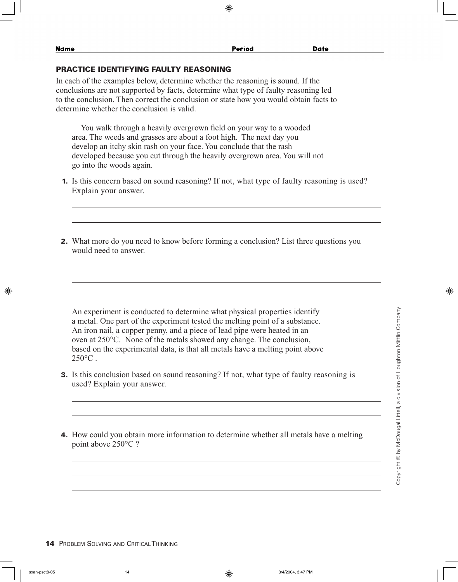| Name                                                                                                                                                                                                                                                                                                          | Period | <b>Date</b> |  |
|---------------------------------------------------------------------------------------------------------------------------------------------------------------------------------------------------------------------------------------------------------------------------------------------------------------|--------|-------------|--|
| PRACTICE IDENTIFYING FAULTY REASONING                                                                                                                                                                                                                                                                         |        |             |  |
| In each of the examples below, determine whether the reasoning is sound. If the<br>conclusions are not supported by facts, determine what type of faulty reasoning led<br>to the conclusion. Then correct the conclusion or state how you would obtain facts to<br>determine whether the conclusion is valid. |        |             |  |
| Vou walk through a heavily overgrown field on your way to a wooded                                                                                                                                                                                                                                            |        |             |  |

You walk through a heavily overgrown field on your way to a wooded area. The weeds and grasses are about a foot high. The next day you develop an itchy skin rash on your face. You conclude that the rash developed because you cut through the heavily overgrown area. You will not go into the woods again.

- 1. Is this concern based on sound reasoning? If not, what type of faulty reasoning is used? Explain your answer.
- 2. What more do you need to know before forming a conclusion? List three questions you would need to answer.

An experiment is conducted to determine what physical properties identify a metal. One part of the experiment tested the melting point of a substance. An iron nail, a copper penny, and a piece of lead pipe were heated in an oven at 250°C. None of the metals showed any change. The conclusion, based on the experimental data, is that all metals have a melting point above  $250^{\circ}$ C

- 3. Is this conclusion based on sound reasoning? If not, what type of faulty reasoning is used? Explain your answer.
- 4. How could you obtain more information to determine whether all metals have a melting point above 250°C ?